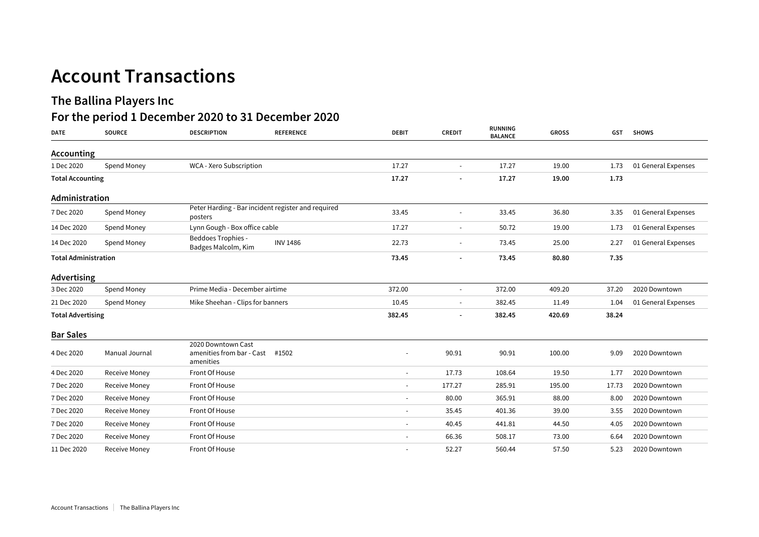## **Account Transactions**

## **The Ballina Players Inc**

## **For the period 1 December 2020 to 31 December 2020**

| <b>DATE</b>              | <b>SOURCE</b>               | <b>DESCRIPTION</b>                                            | <b>REFERENCE</b> | <b>DEBIT</b>             | <b>CREDIT</b>            | RUNNING<br><b>BALANCE</b> | <b>GROSS</b> | <b>GST</b> | <b>SHOWS</b>        |
|--------------------------|-----------------------------|---------------------------------------------------------------|------------------|--------------------------|--------------------------|---------------------------|--------------|------------|---------------------|
| Accounting               |                             |                                                               |                  |                          |                          |                           |              |            |                     |
| 1 Dec 2020               | Spend Money                 | WCA - Xero Subscription                                       |                  | 17.27                    |                          | 17.27                     | 19.00        | 1.73       | 01 General Expenses |
| <b>Total Accounting</b>  |                             |                                                               |                  | 17.27                    |                          | 17.27                     | 19.00        | 1.73       |                     |
| Administration           |                             |                                                               |                  |                          |                          |                           |              |            |                     |
| 7 Dec 2020               | Spend Money                 | Peter Harding - Bar incident register and required<br>posters |                  | 33.45                    | $\overline{\phantom{a}}$ | 33.45                     | 36.80        | 3.35       | 01 General Expenses |
| 14 Dec 2020              | Spend Money                 | Lynn Gough - Box office cable                                 |                  | 17.27                    |                          | 50.72                     | 19.00        | 1.73       | 01 General Expenses |
| 14 Dec 2020              | Spend Money                 | <b>Beddoes Trophies -</b><br>Badges Malcolm, Kim              | <b>INV 1486</b>  | 22.73                    |                          | 73.45                     | 25.00        | 2.27       | 01 General Expenses |
|                          | <b>Total Administration</b> |                                                               |                  |                          |                          | 73.45                     | 80.80        | 7.35       |                     |
| Advertising              |                             |                                                               |                  |                          |                          |                           |              |            |                     |
| 3 Dec 2020               | Spend Money                 | Prime Media - December airtime                                |                  | 372.00                   |                          | 372.00                    | 409.20       | 37.20      | 2020 Downtown       |
| 21 Dec 2020              | Spend Money                 | Mike Sheehan - Clips for banners                              |                  | 10.45                    |                          | 382.45                    | 11.49        | 1.04       | 01 General Expenses |
| <b>Total Advertising</b> |                             |                                                               |                  | 382.45                   |                          | 382.45                    | 420.69       | 38.24      |                     |
| <b>Bar Sales</b>         |                             |                                                               |                  |                          |                          |                           |              |            |                     |
| 4 Dec 2020               | Manual Journal              | 2020 Downtown Cast<br>amenities from bar - Cast<br>amenities  | #1502            |                          | 90.91                    | 90.91                     | 100.00       | 9.09       | 2020 Downtown       |
| 4 Dec 2020               | Receive Money               | Front Of House                                                |                  | $\overline{\phantom{a}}$ | 17.73                    | 108.64                    | 19.50        | 1.77       | 2020 Downtown       |
| 7 Dec 2020               | <b>Receive Money</b>        | Front Of House                                                |                  | $\overline{\phantom{a}}$ | 177.27                   | 285.91                    | 195.00       | 17.73      | 2020 Downtown       |
| 7 Dec 2020               | <b>Receive Money</b>        | Front Of House                                                |                  | $\overline{\phantom{a}}$ | 80.00                    | 365.91                    | 88.00        | 8.00       | 2020 Downtown       |
| 7 Dec 2020               | Receive Money               | Front Of House                                                |                  | $\overline{\phantom{a}}$ | 35.45                    | 401.36                    | 39.00        | 3.55       | 2020 Downtown       |
| 7 Dec 2020               | Receive Money               | Front Of House                                                |                  |                          | 40.45                    | 441.81                    | 44.50        | 4.05       | 2020 Downtown       |
| 7 Dec 2020               | Receive Money               | Front Of House                                                |                  |                          | 66.36                    | 508.17                    | 73.00        | 6.64       | 2020 Downtown       |
| 11 Dec 2020              | Receive Money               | Front Of House                                                |                  | $\overline{\phantom{a}}$ | 52.27                    | 560.44                    | 57.50        | 5.23       | 2020 Downtown       |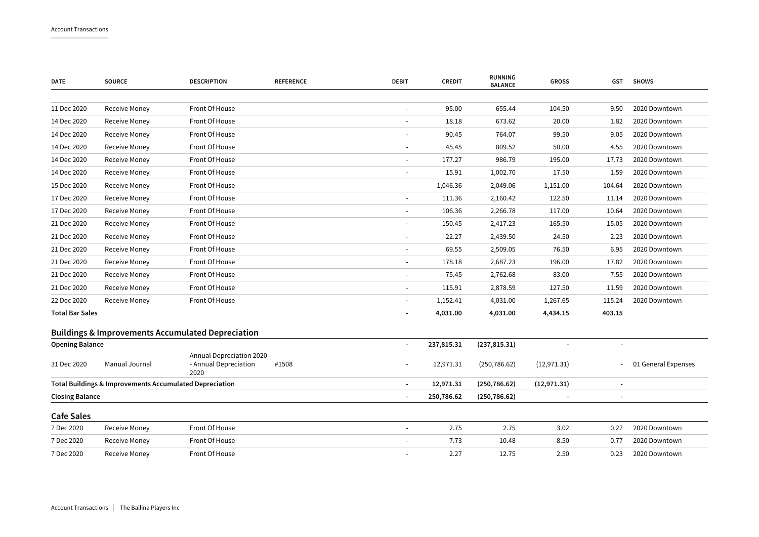| <b>DATE</b>            | <b>SOURCE</b>                                           | <b>DESCRIPTION</b>                                           | <b>REFERENCE</b> | <b>DEBIT</b>             | <b>CREDIT</b> | RUNNING<br><b>BALANCE</b> | <b>GROSS</b> | GST    | <b>SHOWS</b>        |
|------------------------|---------------------------------------------------------|--------------------------------------------------------------|------------------|--------------------------|---------------|---------------------------|--------------|--------|---------------------|
|                        |                                                         |                                                              |                  |                          |               |                           |              |        |                     |
| 11 Dec 2020            | Receive Money                                           | Front Of House                                               |                  | $\overline{\phantom{a}}$ | 95.00         | 655.44                    | 104.50       | 9.50   | 2020 Downtown       |
| 14 Dec 2020            | Receive Money                                           | Front Of House                                               |                  |                          | 18.18         | 673.62                    | 20.00        | 1.82   | 2020 Downtown       |
| 14 Dec 2020            | Receive Money                                           | Front Of House                                               |                  | $\overline{\phantom{a}}$ | 90.45         | 764.07                    | 99.50        | 9.05   | 2020 Downtown       |
| 14 Dec 2020            | Receive Money                                           | Front Of House                                               |                  |                          | 45.45         | 809.52                    | 50.00        | 4.55   | 2020 Downtown       |
| 14 Dec 2020            | Receive Money                                           | Front Of House                                               |                  | $\sim$                   | 177.27        | 986.79                    | 195.00       | 17.73  | 2020 Downtown       |
| 14 Dec 2020            | Receive Money                                           | Front Of House                                               |                  | $\overline{\phantom{a}}$ | 15.91         | 1,002.70                  | 17.50        | 1.59   | 2020 Downtown       |
| 15 Dec 2020            | Receive Money                                           | Front Of House                                               |                  | $\overline{a}$           | 1,046.36      | 2,049.06                  | 1,151.00     | 104.64 | 2020 Downtown       |
| 17 Dec 2020            | Receive Money                                           | Front Of House                                               |                  | $\sim$                   | 111.36        | 2,160.42                  | 122.50       | 11.14  | 2020 Downtown       |
| 17 Dec 2020            | Receive Money                                           | Front Of House                                               |                  | $\overline{\phantom{a}}$ | 106.36        | 2,266.78                  | 117.00       | 10.64  | 2020 Downtown       |
| 21 Dec 2020            | Receive Money                                           | Front Of House                                               |                  | $\overline{a}$           | 150.45        | 2,417.23                  | 165.50       | 15.05  | 2020 Downtown       |
| 21 Dec 2020            | Receive Money                                           | Front Of House                                               |                  | $\overline{\phantom{a}}$ | 22.27         | 2,439.50                  | 24.50        | 2.23   | 2020 Downtown       |
| 21 Dec 2020            | Receive Money                                           | Front Of House                                               |                  |                          | 69.55         | 2,509.05                  | 76.50        | 6.95   | 2020 Downtown       |
| 21 Dec 2020            | Receive Money                                           | Front Of House                                               |                  | $\frac{1}{2}$            | 178.18        | 2,687.23                  | 196.00       | 17.82  | 2020 Downtown       |
| 21 Dec 2020            | Receive Money                                           | Front Of House                                               |                  |                          | 75.45         | 2,762.68                  | 83.00        | 7.55   | 2020 Downtown       |
| 21 Dec 2020            | Receive Money                                           | Front Of House                                               |                  |                          | 115.91        | 2,878.59                  | 127.50       | 11.59  | 2020 Downtown       |
| 22 Dec 2020            | Receive Money                                           | Front Of House                                               |                  |                          | 1,152.41      | 4,031.00                  | 1,267.65     | 115.24 | 2020 Downtown       |
| <b>Total Bar Sales</b> |                                                         |                                                              |                  |                          | 4,031.00      | 4,031.00                  | 4,434.15     | 403.15 |                     |
|                        |                                                         | <b>Buildings &amp; Improvements Accumulated Depreciation</b> |                  |                          |               |                           |              |        |                     |
| <b>Opening Balance</b> |                                                         |                                                              |                  | ٠                        | 237,815.31    | (237, 815.31)             |              |        |                     |
| 31 Dec 2020            | Manual Journal                                          | Annual Depreciation 2020<br>- Annual Depreciation<br>2020    | #1508            |                          | 12,971.31     | (250, 786.62)             | (12, 971.31) |        | 01 General Expenses |
|                        | Total Buildings & Improvements Accumulated Depreciation |                                                              |                  | $\overline{\phantom{a}}$ | 12,971.31     | (250, 786.62)             | (12, 971.31) |        |                     |
| <b>Closing Balance</b> |                                                         |                                                              |                  | 250,786.62               | (250, 786.62) |                           |              |        |                     |
| <b>Cafe Sales</b>      |                                                         |                                                              |                  |                          |               |                           |              |        |                     |
| 7 Dec 2020             | Receive Money                                           | Front Of House                                               |                  |                          | 2.75          | 2.75                      | 3.02         | 0.27   | 2020 Downtown       |
| 7 Dec 2020             | Receive Money                                           | Front Of House                                               |                  |                          | 7.73          | 10.48                     | 8.50         | 0.77   | 2020 Downtown       |
| 7 Dec 2020             | Receive Money                                           | Front Of House                                               |                  |                          | 2.27          | 12.75                     | 2.50         | 0.23   | 2020 Downtown       |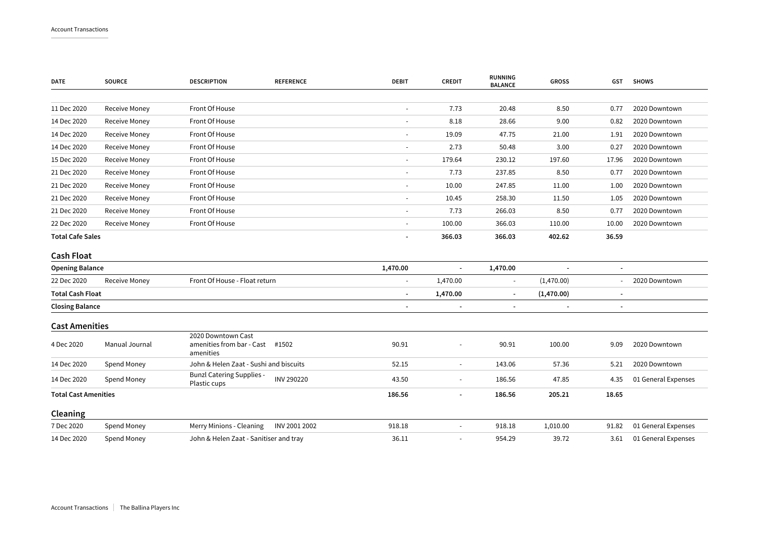| <b>DATE</b>                 | <b>SOURCE</b>        | <b>DESCRIPTION</b>                                           | <b>REFERENCE</b>                    | <b>DEBIT</b>             | <b>CREDIT</b>            | <b>RUNNING</b><br><b>BALANCE</b> | <b>GROSS</b>             | <b>GST</b>               | <b>SHOWS</b>        |
|-----------------------------|----------------------|--------------------------------------------------------------|-------------------------------------|--------------------------|--------------------------|----------------------------------|--------------------------|--------------------------|---------------------|
|                             |                      |                                                              |                                     |                          |                          |                                  |                          |                          |                     |
| 11 Dec 2020                 | Receive Money        | Front Of House                                               |                                     | $\overline{\phantom{a}}$ | 7.73                     | 20.48                            | 8.50                     | 0.77                     | 2020 Downtown       |
| 14 Dec 2020                 | Receive Money        | Front Of House                                               |                                     | $\overline{\phantom{a}}$ | 8.18                     | 28.66                            | 9.00                     | 0.82                     | 2020 Downtown       |
| 14 Dec 2020                 | Receive Money        | Front Of House                                               |                                     |                          | 19.09                    | 47.75                            | 21.00                    | 1.91                     | 2020 Downtown       |
| 14 Dec 2020                 | Receive Money        | Front Of House                                               |                                     | $\overline{\phantom{a}}$ | 2.73                     | 50.48                            | 3.00                     | 0.27                     | 2020 Downtown       |
| 15 Dec 2020                 | Receive Money        | Front Of House                                               |                                     | $\overline{\phantom{a}}$ | 179.64                   | 230.12                           | 197.60                   | 17.96                    | 2020 Downtown       |
| 21 Dec 2020                 | <b>Receive Money</b> | Front Of House                                               |                                     |                          | 7.73                     | 237.85                           | 8.50                     | 0.77                     | 2020 Downtown       |
| 21 Dec 2020                 | Receive Money        | Front Of House                                               |                                     | $\overline{\phantom{a}}$ | 10.00                    | 247.85                           | 11.00                    | 1.00                     | 2020 Downtown       |
| 21 Dec 2020                 | Receive Money        | Front Of House                                               |                                     |                          | 10.45                    | 258.30                           | 11.50                    | 1.05                     | 2020 Downtown       |
| 21 Dec 2020                 | Receive Money        | Front Of House                                               |                                     |                          | 7.73                     | 266.03                           | 8.50                     | 0.77                     | 2020 Downtown       |
| 22 Dec 2020                 | Receive Money        | Front Of House                                               |                                     | $\overline{\phantom{a}}$ | 100.00                   | 366.03                           | 110.00                   | 10.00                    | 2020 Downtown       |
| <b>Total Cafe Sales</b>     |                      |                                                              |                                     | 366.03                   | 366.03                   | 402.62                           | 36.59                    |                          |                     |
| <b>Cash Float</b>           |                      |                                                              |                                     |                          |                          |                                  |                          |                          |                     |
| <b>Opening Balance</b>      |                      |                                                              |                                     | 1,470.00                 | $\blacksquare$           | 1,470.00                         |                          | $\blacksquare$           |                     |
| 22 Dec 2020                 | <b>Receive Money</b> | Front Of House - Float return                                |                                     | $\sim$                   | 1,470.00                 | $\sim$                           | (1,470.00)               |                          | 2020 Downtown       |
| <b>Total Cash Float</b>     |                      |                                                              |                                     | $\overline{\phantom{a}}$ | 1,470.00                 | $\overline{\phantom{a}}$         | (1,470.00)               | $\overline{\phantom{a}}$ |                     |
| <b>Closing Balance</b>      |                      |                                                              |                                     |                          | $\overline{\phantom{a}}$ |                                  | $\overline{\phantom{a}}$ |                          |                     |
| <b>Cast Amenities</b>       |                      |                                                              |                                     |                          |                          |                                  |                          |                          |                     |
| 4 Dec 2020                  | Manual Journal       | 2020 Downtown Cast<br>amenities from bar - Cast<br>amenities | #1502                               | 90.91                    | $\ddot{\phantom{1}}$     | 90.91                            | 100.00                   | 9.09                     | 2020 Downtown       |
| 14 Dec 2020                 | Spend Money          | John & Helen Zaat - Sushi and biscuits                       |                                     | 52.15                    | $\overline{\phantom{m}}$ | 143.06                           | 57.36                    | 5.21                     | 2020 Downtown       |
| 14 Dec 2020                 | Spend Money          | <b>Bunzl Catering Supplies -</b><br>Plastic cups             | INV 290220                          | 43.50                    | $\blacksquare$           | 186.56                           | 47.85                    | 4.35                     | 01 General Expenses |
| <b>Total Cast Amenities</b> |                      |                                                              | 186.56<br>186.56<br>205.21<br>18.65 |                          |                          |                                  |                          |                          |                     |
| Cleaning                    |                      |                                                              |                                     |                          |                          |                                  |                          |                          |                     |
| 7 Dec 2020                  | Spend Money          | Merry Minions - Cleaning                                     | INV 2001 2002                       | 918.18                   | ÷,                       | 918.18                           | 1,010.00                 | 91.82                    | 01 General Expenses |
| 14 Dec 2020                 | Spend Money          | John & Helen Zaat - Sanitiser and tray                       |                                     | 36.11                    | ÷,                       | 954.29                           | 39.72                    | 3.61                     | 01 General Expenses |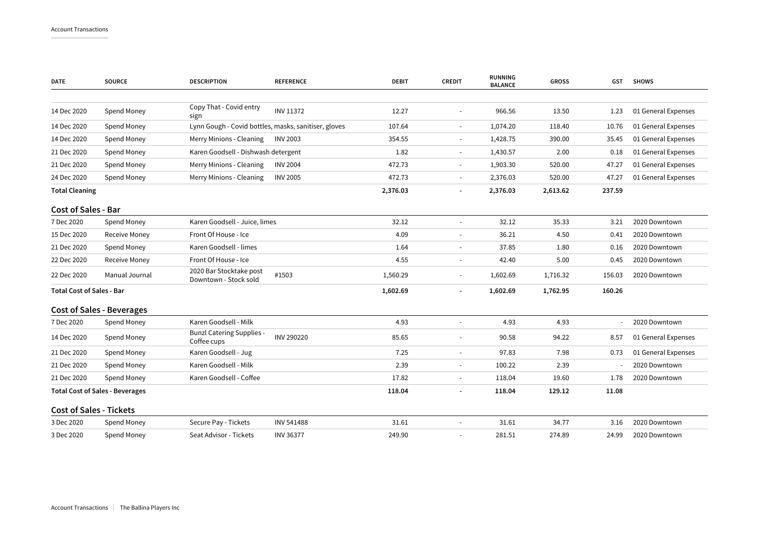| <b>DATE</b>                            | <b>SOURCE</b>                    | <b>DESCRIPTION</b>                                   | <b>REFERENCE</b>         | <b>DEBIT</b> | <b>CREDIT</b>            | <b>RUNNING</b><br><b>BALANCE</b> | <b>GROSS</b> | GST    | <b>SHOWS</b>        |
|----------------------------------------|----------------------------------|------------------------------------------------------|--------------------------|--------------|--------------------------|----------------------------------|--------------|--------|---------------------|
|                                        |                                  | Copy That - Covid entry                              |                          |              |                          |                                  |              |        |                     |
| 14 Dec 2020                            | Spend Money                      | sign                                                 | <b>INV 11372</b>         | 12.27        | $\overline{\phantom{a}}$ | 966.56                           | 13.50        | 1.23   | 01 General Expenses |
| 14 Dec 2020                            | Spend Money                      | Lynn Gough - Covid bottles, masks, sanitiser, gloves |                          | 107.64       | $\blacksquare$           | 1,074.20                         | 118.40       | 10.76  | 01 General Expenses |
| 14 Dec 2020                            | Spend Money                      | Merry Minions - Cleaning                             | <b>INV 2003</b>          | 354.55       | $\overline{\phantom{a}}$ | 1,428.75                         | 390.00       | 35.45  | 01 General Expenses |
| 21 Dec 2020                            | Spend Money                      | Karen Goodsell - Dishwash detergent                  |                          | 1.82         | $\overline{\phantom{a}}$ | 1,430.57                         | 2.00         | 0.18   | 01 General Expenses |
| 21 Dec 2020                            | Spend Money                      | Merry Minions - Cleaning                             | <b>INV 2004</b>          | 472.73       | $\overline{\phantom{a}}$ | 1,903.30                         | 520.00       | 47.27  | 01 General Expenses |
| 24 Dec 2020                            | Spend Money                      | Merry Minions - Cleaning                             | <b>INV 2005</b>          | 472.73       | $\overline{\phantom{a}}$ | 2,376.03                         | 520.00       | 47.27  | 01 General Expenses |
| <b>Total Cleaning</b>                  |                                  |                                                      |                          | 2,376.03     | $\overline{\phantom{a}}$ | 2,376.03                         | 2,613.62     | 237.59 |                     |
| <b>Cost of Sales - Bar</b>             |                                  |                                                      |                          |              |                          |                                  |              |        |                     |
| 7 Dec 2020                             | Spend Money                      | Karen Goodsell - Juice, limes                        |                          | 32.12        | $\blacksquare$           | 32.12                            | 35.33        | 3.21   | 2020 Downtown       |
| 15 Dec 2020                            | <b>Receive Money</b>             | Front Of House - Ice                                 |                          | 4.09         | $\sim$                   | 36.21                            | 4.50         | 0.41   | 2020 Downtown       |
| 21 Dec 2020                            | Spend Money                      | Karen Goodsell - limes                               |                          | 1.64         | $\overline{\phantom{a}}$ | 37.85                            | 1.80         | 0.16   | 2020 Downtown       |
| 22 Dec 2020                            | Receive Money                    | Front Of House - Ice                                 |                          | 4.55         |                          | 42.40                            | 5.00         | 0.45   | 2020 Downtown       |
| 22 Dec 2020                            | Manual Journal                   | 2020 Bar Stocktake post<br>Downtown - Stock sold     | #1503                    | 1,560.29     | $\overline{\phantom{a}}$ | 1,602.69                         | 1,716.32     | 156.03 | 2020 Downtown       |
| <b>Total Cost of Sales - Bar</b>       |                                  |                                                      |                          | 1,602.69     |                          | 1,602.69                         | 1,762.95     | 160.26 |                     |
|                                        | <b>Cost of Sales - Beverages</b> |                                                      |                          |              |                          |                                  |              |        |                     |
| 7 Dec 2020                             | Spend Money                      | Karen Goodsell - Milk                                |                          | 4.93         | $\sim$                   | 4.93                             | 4.93         |        | 2020 Downtown       |
| 14 Dec 2020                            | Spend Money                      | <b>Bunzl Catering Supplies -</b><br>Coffee cups      | INV 290220               | 85.65        | $\overline{\phantom{a}}$ | 90.58                            | 94.22        | 8.57   | 01 General Expenses |
| 21 Dec 2020                            | Spend Money                      | Karen Goodsell - Jug                                 |                          | 7.25         | $\sim$                   | 97.83                            | 7.98         | 0.73   | 01 General Expenses |
| 21 Dec 2020                            | Spend Money                      | Karen Goodsell - Milk                                |                          | 2.39         | $\blacksquare$           | 100.22                           | 2.39         |        | 2020 Downtown       |
| 21 Dec 2020                            | Spend Money                      | Karen Goodsell - Coffee                              |                          | 17.82        | $\blacksquare$           | 118.04                           | 19.60        | 1.78   | 2020 Downtown       |
| <b>Total Cost of Sales - Beverages</b> |                                  | 118.04                                               | $\overline{\phantom{a}}$ | 118.04       | 129.12                   | 11.08                            |              |        |                     |
| <b>Cost of Sales - Tickets</b>         |                                  |                                                      |                          |              |                          |                                  |              |        |                     |
| 3 Dec 2020                             | Spend Money                      | Secure Pay - Tickets                                 | INV 541488               | 31.61        |                          | 31.61                            | 34.77        | 3.16   | 2020 Downtown       |
| 3 Dec 2020                             | Spend Money                      | Seat Advisor - Tickets                               | <b>INV 36377</b>         | 249.90       |                          | 281.51                           | 274.89       | 24.99  | 2020 Downtown       |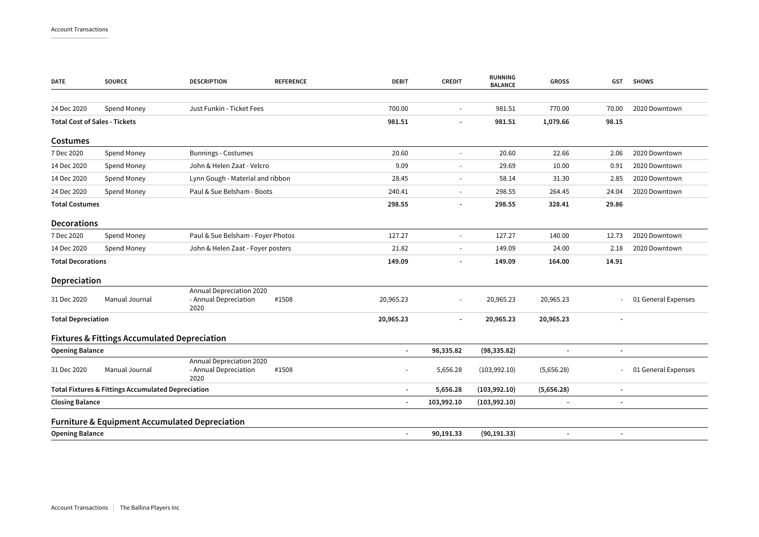| <b>DATE</b>               | <b>SOURCE</b>                                             | <b>DESCRIPTION</b>                                        | <b>REFERENCE</b> | <b>DEBIT</b>             | <b>CREDIT</b>            | <b>RUNNING</b><br><b>BALANCE</b> | <b>GROSS</b> | GST                      | <b>SHOWS</b>        |
|---------------------------|-----------------------------------------------------------|-----------------------------------------------------------|------------------|--------------------------|--------------------------|----------------------------------|--------------|--------------------------|---------------------|
| 24 Dec 2020               | Spend Money                                               | Just Funkin - Ticket Fees                                 |                  | 700.00                   | $\sim$                   | 981.51                           | 770.00       | 70.00                    | 2020 Downtown       |
|                           | <b>Total Cost of Sales - Tickets</b>                      |                                                           |                  | 981.51                   |                          | 981.51                           | 1,079.66     | 98.15                    |                     |
| <b>Costumes</b>           |                                                           |                                                           |                  |                          |                          |                                  |              |                          |                     |
| 7 Dec 2020                | Spend Money                                               | <b>Bunnings - Costumes</b>                                |                  | 20.60                    | ÷.                       | 20.60                            | 22.66        | 2.06                     | 2020 Downtown       |
| 14 Dec 2020               | Spend Money                                               | John & Helen Zaat - Velcro                                |                  | 9.09                     | $\overline{\phantom{a}}$ | 29.69                            | 10.00        | 0.91                     | 2020 Downtown       |
| 14 Dec 2020               | Spend Money                                               | Lynn Gough - Material and ribbon                          |                  | 28.45                    | $\overline{\phantom{a}}$ | 58.14                            | 31.30        | 2.85                     | 2020 Downtown       |
| 24 Dec 2020               | Spend Money                                               | Paul & Sue Belsham - Boots                                |                  | 240.41                   | $\sim$                   | 298.55                           | 264.45       | 24.04                    | 2020 Downtown       |
| <b>Total Costumes</b>     |                                                           |                                                           |                  | 298.55                   | $\overline{\phantom{a}}$ | 298.55                           | 328.41       | 29.86                    |                     |
| <b>Decorations</b>        |                                                           |                                                           |                  |                          |                          |                                  |              |                          |                     |
| 7 Dec 2020                | Spend Money                                               | Paul & Sue Belsham - Foyer Photos                         |                  | 127.27                   | $\overline{\phantom{a}}$ | 127.27                           | 140.00       | 12.73                    | 2020 Downtown       |
| 14 Dec 2020               | Spend Money                                               | John & Helen Zaat - Foyer posters                         |                  | 21.82                    | $\sim$                   | 149.09                           | 24.00        | 2.18                     | 2020 Downtown       |
| <b>Total Decorations</b>  |                                                           |                                                           | 149.09           |                          | 149.09                   | 164.00                           | 14.91        |                          |                     |
| Depreciation              |                                                           |                                                           |                  |                          |                          |                                  |              |                          |                     |
| 31 Dec 2020               | Manual Journal                                            | Annual Depreciation 2020<br>- Annual Depreciation<br>2020 | #1508            | 20,965.23                |                          | 20,965.23                        | 20,965.23    |                          | 01 General Expenses |
| <b>Total Depreciation</b> |                                                           |                                                           |                  | 20,965.23                |                          | 20,965.23                        | 20,965.23    |                          |                     |
|                           | <b>Fixtures &amp; Fittings Accumulated Depreciation</b>   |                                                           |                  |                          |                          |                                  |              |                          |                     |
| <b>Opening Balance</b>    |                                                           |                                                           |                  | $\overline{\phantom{a}}$ | 98,335.82                | (98, 335.82)                     |              | $\overline{a}$           |                     |
| 31 Dec 2020               | Manual Journal                                            | Annual Depreciation 2020<br>- Annual Depreciation<br>2020 | #1508            | $\blacksquare$           | 5,656.28                 | (103,992.10)                     | (5,656.28)   |                          | 01 General Expenses |
|                           | Total Fixtures & Fittings Accumulated Depreciation        |                                                           |                  | $\overline{\phantom{a}}$ | 5,656.28                 | (103, 992.10)                    | (5,656.28)   | $\overline{\phantom{a}}$ |                     |
| <b>Closing Balance</b>    |                                                           |                                                           |                  | $\overline{\phantom{a}}$ | 103,992.10               | (103,992.10)                     |              | $\overline{a}$           |                     |
|                           | <b>Furniture &amp; Equipment Accumulated Depreciation</b> |                                                           |                  |                          |                          |                                  |              |                          |                     |
| <b>Opening Balance</b>    |                                                           |                                                           |                  | ٠                        | 90,191.33                | (90, 191.33)                     |              | $\overline{a}$           |                     |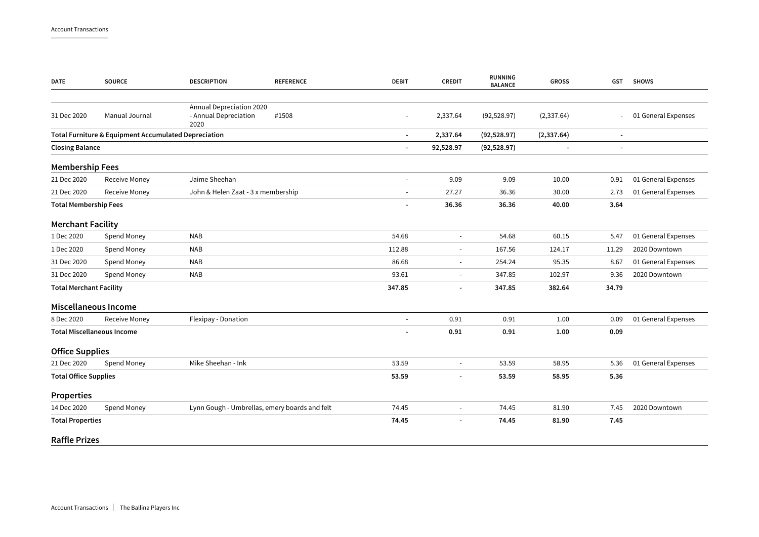| <b>DATE</b>                    | <b>SOURCE</b>                                        | <b>DESCRIPTION</b>                                                 | <b>DEBIT</b><br><b>REFERENCE</b> | <b>CREDIT</b>            | RUNNING<br><b>BALANCE</b> | <b>GROSS</b>   | <b>GST</b>               | <b>SHOWS</b>        |
|--------------------------------|------------------------------------------------------|--------------------------------------------------------------------|----------------------------------|--------------------------|---------------------------|----------------|--------------------------|---------------------|
|                                |                                                      |                                                                    |                                  |                          |                           |                |                          |                     |
| 31 Dec 2020                    | Manual Journal                                       | Annual Depreciation 2020<br>- Annual Depreciation<br>#1508<br>2020 |                                  | 2,337.64                 | (92, 528.97)              | (2, 337.64)    | $\sim$                   | 01 General Expenses |
|                                | Total Furniture & Equipment Accumulated Depreciation |                                                                    | $\overline{\phantom{a}}$         | 2,337.64                 | (92, 528.97)              | (2, 337.64)    | $\overline{\phantom{a}}$ |                     |
| <b>Closing Balance</b>         |                                                      |                                                                    | $\overline{\phantom{a}}$         | 92,528.97                | (92, 528.97)              | $\blacksquare$ | $\overline{a}$           |                     |
| <b>Membership Fees</b>         |                                                      |                                                                    |                                  |                          |                           |                |                          |                     |
| 21 Dec 2020                    | Receive Money                                        | Jaime Sheehan                                                      | $\overline{\phantom{a}}$         | 9.09                     | 9.09                      | 10.00          | 0.91                     | 01 General Expenses |
| 21 Dec 2020                    | <b>Receive Money</b>                                 | John & Helen Zaat - 3 x membership                                 | $\overline{\phantom{a}}$         | 27.27                    | 36.36                     | 30.00          | 2.73                     | 01 General Expenses |
| <b>Total Membership Fees</b>   |                                                      |                                                                    | $\blacksquare$                   | 36.36                    | 36.36                     | 40.00          | 3.64                     |                     |
| <b>Merchant Facility</b>       |                                                      |                                                                    |                                  |                          |                           |                |                          |                     |
| 1 Dec 2020                     | Spend Money                                          | <b>NAB</b>                                                         | 54.68                            | $\sim$                   | 54.68                     | 60.15          | 5.47                     | 01 General Expenses |
| 1 Dec 2020                     | Spend Money                                          | <b>NAB</b>                                                         | 112.88                           | $\overline{\phantom{a}}$ | 167.56                    | 124.17         | 11.29                    | 2020 Downtown       |
| 31 Dec 2020                    | Spend Money                                          | <b>NAB</b>                                                         | 86.68                            | $\overline{\phantom{a}}$ | 254.24                    | 95.35          | 8.67                     | 01 General Expenses |
| 31 Dec 2020                    | Spend Money                                          | <b>NAB</b>                                                         | 93.61                            | $\sim$                   | 347.85                    | 102.97         | 9.36                     | 2020 Downtown       |
| <b>Total Merchant Facility</b> |                                                      |                                                                    | 347.85                           |                          | 347.85                    | 382.64         | 34.79                    |                     |
|                                | Miscellaneous Income                                 |                                                                    |                                  |                          |                           |                |                          |                     |
| 8 Dec 2020                     | Receive Money                                        | Flexipay - Donation                                                | $\overline{\phantom{a}}$         | 0.91                     | 0.91                      | 1.00           | 0.09                     | 01 General Expenses |
|                                | <b>Total Miscellaneous Income</b>                    |                                                                    |                                  | 0.91                     | 0.91                      | 1.00           | 0.09                     |                     |
| <b>Office Supplies</b>         |                                                      |                                                                    |                                  |                          |                           |                |                          |                     |
| 21 Dec 2020                    | Spend Money                                          | Mike Sheehan - Ink                                                 | 53.59                            |                          | 53.59                     | 58.95          | 5.36                     | 01 General Expenses |
| <b>Total Office Supplies</b>   |                                                      |                                                                    | 53.59                            | $\overline{\phantom{a}}$ | 53.59                     | 58.95          | 5.36                     |                     |
| <b>Properties</b>              |                                                      |                                                                    |                                  |                          |                           |                |                          |                     |
| 14 Dec 2020                    | Spend Money                                          | Lynn Gough - Umbrellas, emery boards and felt                      | 74.45                            |                          | 74.45                     | 81.90          | 7.45                     | 2020 Downtown       |
| <b>Total Properties</b>        |                                                      |                                                                    | 74.45                            |                          | 74.45                     | 81.90          | 7.45                     |                     |
| <b>Raffle Prizes</b>           |                                                      |                                                                    |                                  |                          |                           |                |                          |                     |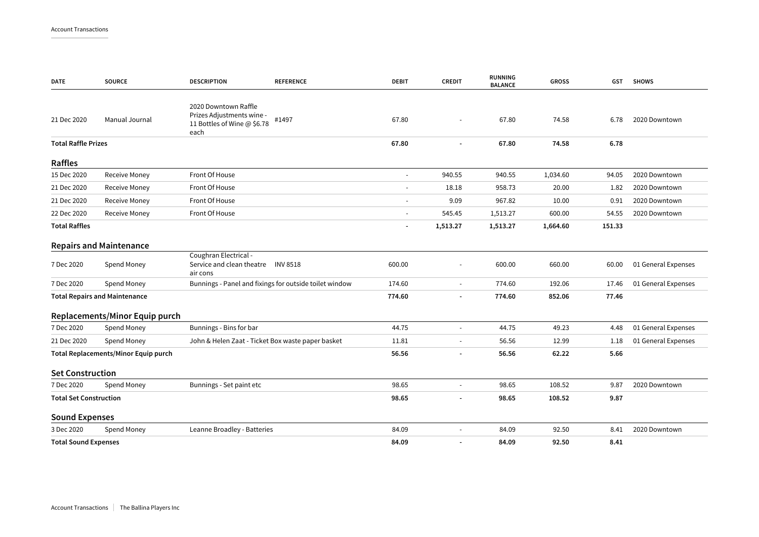| <b>DATE</b>                   | <b>SOURCE</b>                        | <b>DESCRIPTION</b>                                                                       | <b>REFERENCE</b>                                       | <b>DEBIT</b>             | <b>CREDIT</b>            | <b>RUNNING</b><br><b>BALANCE</b> | <b>GROSS</b> | GST    | <b>SHOWS</b>        |
|-------------------------------|--------------------------------------|------------------------------------------------------------------------------------------|--------------------------------------------------------|--------------------------|--------------------------|----------------------------------|--------------|--------|---------------------|
| 21 Dec 2020                   | Manual Journal                       | 2020 Downtown Raffle<br>Prizes Adjustments wine -<br>11 Bottles of Wine @ \$6.78<br>each | #1497                                                  | 67.80                    |                          | 67.80                            | 74.58        | 6.78   | 2020 Downtown       |
| <b>Total Raffle Prizes</b>    |                                      |                                                                                          |                                                        | 67.80                    |                          | 67.80                            | 74.58        | 6.78   |                     |
| Raffles                       |                                      |                                                                                          |                                                        |                          |                          |                                  |              |        |                     |
| 15 Dec 2020                   | Receive Money                        | Front Of House                                                                           |                                                        | $\blacksquare$           | 940.55                   | 940.55                           | 1,034.60     | 94.05  | 2020 Downtown       |
| 21 Dec 2020                   | Receive Money                        | Front Of House                                                                           |                                                        | ÷,                       | 18.18                    | 958.73                           | 20.00        | 1.82   | 2020 Downtown       |
| 21 Dec 2020                   | Receive Money                        | Front Of House                                                                           |                                                        | $\blacksquare$           | 9.09                     | 967.82                           | 10.00        | 0.91   | 2020 Downtown       |
| 22 Dec 2020                   | <b>Receive Money</b>                 | Front Of House                                                                           |                                                        | $\sim$                   | 545.45                   | 1,513.27                         | 600.00       | 54.55  | 2020 Downtown       |
| <b>Total Raffles</b>          |                                      |                                                                                          |                                                        | $\overline{\phantom{a}}$ | 1,513.27                 | 1,513.27                         | 1,664.60     | 151.33 |                     |
|                               | <b>Repairs and Maintenance</b>       |                                                                                          |                                                        |                          |                          |                                  |              |        |                     |
| 7 Dec 2020                    | Spend Money                          | Coughran Electrical -<br>Service and clean theatre<br>air cons                           | <b>INV 8518</b>                                        | 600.00                   |                          | 600.00                           | 660.00       | 60.00  | 01 General Expenses |
| 7 Dec 2020                    | Spend Money                          |                                                                                          | Bunnings - Panel and fixings for outside toilet window | 174.60                   | $\blacksquare$           | 774.60                           | 192.06       | 17.46  | 01 General Expenses |
|                               | <b>Total Repairs and Maintenance</b> |                                                                                          |                                                        | 774.60                   | $\overline{\phantom{a}}$ | 774.60                           | 852.06       | 77.46  |                     |
|                               | Replacements/Minor Equip purch       |                                                                                          |                                                        |                          |                          |                                  |              |        |                     |
| 7 Dec 2020                    | Spend Money                          | Bunnings - Bins for bar                                                                  |                                                        | 44.75                    | L.                       | 44.75                            | 49.23        | 4.48   | 01 General Expenses |
| 21 Dec 2020                   | Spend Money                          | John & Helen Zaat - Ticket Box waste paper basket                                        |                                                        | 11.81                    |                          | 56.56                            | 12.99        | 1.18   | 01 General Expenses |
|                               | Total Replacements/Minor Equip purch |                                                                                          |                                                        | 56.56                    | $\overline{a}$           | 56.56                            | 62.22        | 5.66   |                     |
| <b>Set Construction</b>       |                                      |                                                                                          |                                                        |                          |                          |                                  |              |        |                     |
| 7 Dec 2020                    | Spend Money                          | Bunnings - Set paint etc                                                                 |                                                        | 98.65                    | $\blacksquare$           | 98.65                            | 108.52       | 9.87   | 2020 Downtown       |
| <b>Total Set Construction</b> |                                      |                                                                                          |                                                        | 98.65                    |                          | 98.65                            | 108.52       | 9.87   |                     |
| <b>Sound Expenses</b>         |                                      |                                                                                          |                                                        |                          |                          |                                  |              |        |                     |
| 3 Dec 2020                    | Spend Money                          | Leanne Broadley - Batteries                                                              |                                                        | 84.09                    | $\blacksquare$           | 84.09                            | 92.50        | 8.41   | 2020 Downtown       |
| <b>Total Sound Expenses</b>   |                                      |                                                                                          |                                                        | 84.09                    |                          | 84.09                            | 92.50        | 8.41   |                     |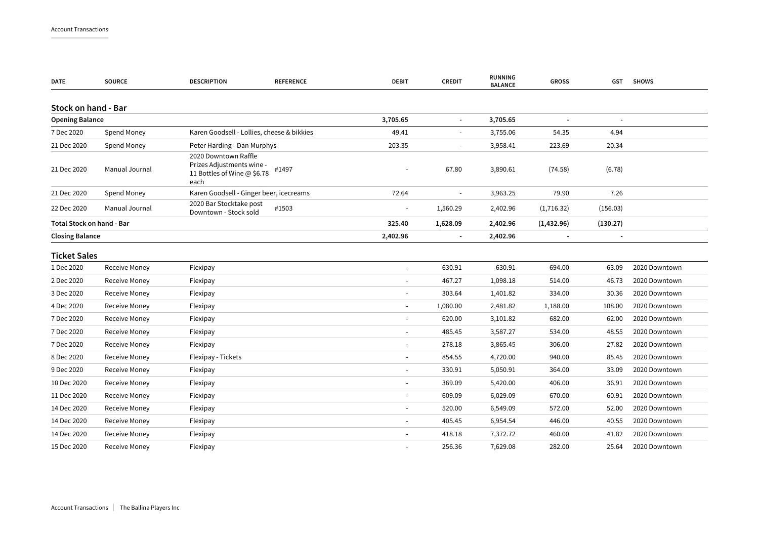| DATE                      | <b>SOURCE</b>        | <b>DESCRIPTION</b>                               | <b>REFERENCE</b>                                                  | DEBIT    | <b>CREDIT</b>            | <b>RUNNING</b><br><b>BALANCE</b> | <b>GROSS</b>             |          | GST SHOWS     |
|---------------------------|----------------------|--------------------------------------------------|-------------------------------------------------------------------|----------|--------------------------|----------------------------------|--------------------------|----------|---------------|
| Stock on hand - Bar       |                      |                                                  |                                                                   |          |                          |                                  |                          |          |               |
| <b>Opening Balance</b>    |                      |                                                  |                                                                   | 3,705.65 | $\blacksquare$           | 3,705.65                         |                          |          |               |
| 7 Dec 2020                | Spend Money          | Karen Goodsell - Lollies, cheese & bikkies       |                                                                   | 49.41    | ÷,                       | 3,755.06                         | 54.35                    | 4.94     |               |
| 21 Dec 2020               | Spend Money          | Peter Harding - Dan Murphys                      |                                                                   | 203.35   |                          | 3,958.41                         | 223.69                   | 20.34    |               |
| 21 Dec 2020               | Manual Journal       | 2020 Downtown Raffle<br>each                     | Prizes Adjustments wine -<br>#1497<br>11 Bottles of Wine @ \$6.78 |          | 67.80                    | 3,890.61                         | (74.58)                  | (6.78)   |               |
| 21 Dec 2020               | Spend Money          | Karen Goodsell - Ginger beer, icecreams          |                                                                   | 72.64    | $\sim$                   | 3,963.25                         | 79.90                    | 7.26     |               |
| 22 Dec 2020               | Manual Journal       | 2020 Bar Stocktake post<br>Downtown - Stock sold | #1503                                                             |          | 1,560.29                 | 2,402.96                         | (1,716.32)               | (156.03) |               |
| Total Stock on hand - Bar |                      |                                                  |                                                                   | 325.40   | 1,628.09                 | 2,402.96                         | (1,432.96)               | (130.27) |               |
| <b>Closing Balance</b>    |                      |                                                  |                                                                   | 2,402.96 | $\overline{\phantom{a}}$ | 2,402.96                         | $\overline{\phantom{a}}$ |          |               |
| <b>Ticket Sales</b>       |                      |                                                  |                                                                   |          |                          |                                  |                          |          |               |
| 1 Dec 2020                | Receive Money        | Flexipay                                         |                                                                   |          | 630.91                   | 630.91                           | 694.00                   | 63.09    | 2020 Downtown |
| 2 Dec 2020                | Receive Money        | Flexipay                                         |                                                                   |          | 467.27                   | 1,098.18                         | 514.00                   | 46.73    | 2020 Downtown |
| 3 Dec 2020                | Receive Money        | Flexipay                                         |                                                                   |          | 303.64                   | 1,401.82                         | 334.00                   | 30.36    | 2020 Downtown |
| 4 Dec 2020                | Receive Money        | Flexipay                                         |                                                                   |          | 1,080.00                 | 2,481.82                         | 1,188.00                 | 108.00   | 2020 Downtown |
| 7 Dec 2020                | Receive Money        | Flexipay                                         |                                                                   |          | 620.00                   | 3,101.82                         | 682.00                   | 62.00    | 2020 Downtown |
| 7 Dec 2020                | Receive Money        | Flexipay                                         |                                                                   |          | 485.45                   | 3,587.27                         | 534.00                   | 48.55    | 2020 Downtown |
| 7 Dec 2020                | <b>Receive Money</b> | Flexipay                                         |                                                                   |          | 278.18                   | 3,865.45                         | 306.00                   | 27.82    | 2020 Downtown |
| 8 Dec 2020                | <b>Receive Money</b> | Flexipay - Tickets                               |                                                                   |          | 854.55                   | 4,720.00                         | 940.00                   | 85.45    | 2020 Downtown |
| 9 Dec 2020                | Receive Money        | Flexipay                                         |                                                                   |          | 330.91                   | 5,050.91                         | 364.00                   | 33.09    | 2020 Downtown |
| 10 Dec 2020               | Receive Money        | Flexipay                                         |                                                                   |          | 369.09                   | 5,420.00                         | 406.00                   | 36.91    | 2020 Downtown |
| 11 Dec 2020               | Receive Money        | Flexipay                                         |                                                                   |          | 609.09                   | 6,029.09                         | 670.00                   | 60.91    | 2020 Downtown |
| 14 Dec 2020               | Receive Money        | Flexipay                                         |                                                                   |          | 520.00                   | 6,549.09                         | 572.00                   | 52.00    | 2020 Downtown |
| 14 Dec 2020               | Receive Money        | Flexipay                                         |                                                                   |          | 405.45                   | 6,954.54                         | 446.00                   | 40.55    | 2020 Downtown |
| 14 Dec 2020               | Receive Money        | Flexipay                                         |                                                                   |          | 418.18                   | 7,372.72                         | 460.00                   | 41.82    | 2020 Downtown |
| 15 Dec 2020               | <b>Receive Money</b> | Flexipay                                         |                                                                   |          | 256.36                   | 7,629.08                         | 282.00                   | 25.64    | 2020 Downtown |